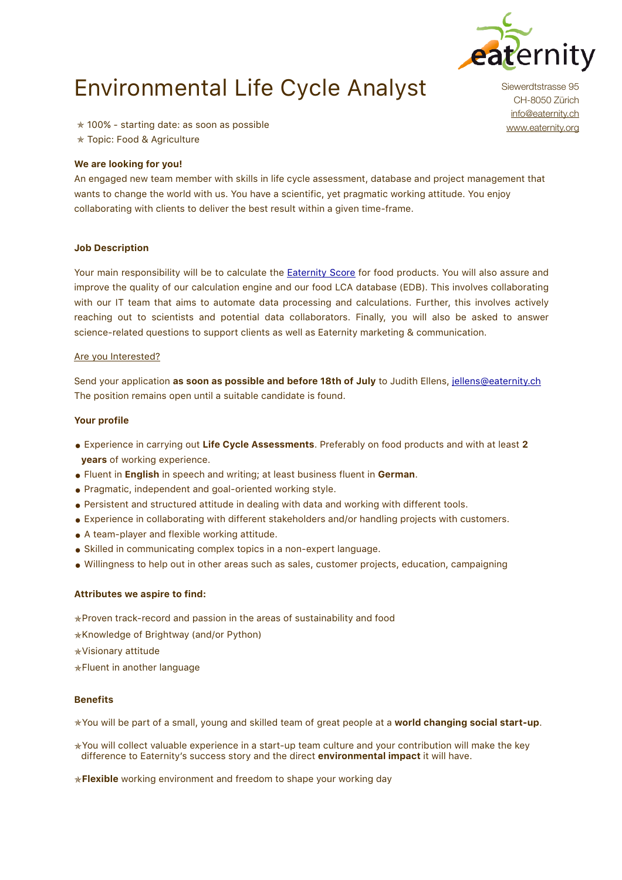

# Environmental Life Cycle Analyst

✯ 100% - starting date: as soon as possible

✯ Topic: Food & Agriculture

#### **We are looking for you!**

An engaged new team member with skills in life cycle assessment, database and project management that wants to change the world with us. You have a scientific, yet pragmatic working attitude. You enjoy collaborating with clients to deliver the best result within a given time-frame.

### **Job Description**

Your main responsibility will be to calculate the [Eaternity Score](https://eaternity.org/score/) for food products. You will also assure and improve the quality of our calculation engine and our food LCA database (EDB). This involves collaborating with our IT team that aims to automate data processing and calculations. Further, this involves actively reaching out to scientists and potential data collaborators. Finally, you will also be asked to answer science-related questions to support clients as well as Eaternity marketing & communication.

#### Are you Interested?

Send your application **as soon as possible and before 18th of July** to Judith Ellens, [jellens@eaternity.ch](mailto:jellens@eaternity.ch) The position remains open until a suitable candidate is found.

#### **Your profile**

- Experience in carrying out **Life Cycle Assessments**. Preferably on food products and with at least **<sup>2</sup> years** of working experience.
- Fluent in **English** in speech and writing; at least business fluent in **German**.
- Pragmatic, independent and goal-oriented working style.
- Persistent and structured attitude in dealing with data and working with different tools.
- Experience in collaborating with different stakeholders and/or handling projects with customers.
- A team-player and flexible working attitude.
- Skilled in communicating complex topics in a non-expert language.
- Willingness to help out in other areas such as sales, customer projects, education, campaigning

#### **Attributes we aspire to find:**

✯Proven track-record and passion in the areas of sustainability and food

- ✯Knowledge of Brightway (and/or Python)
- ✯Visionary attitude
- ✯Fluent in another language

#### **Benefits**

✯You will be part of a small, young and skilled team of great people at a **world changing social start-up**.

✯You will collect valuable experience in a start-up team culture and your contribution will make the key difference to Eaternity's success story and the direct **environmental impact** it will have.

✯**Flexible** working environment and freedom to shape your working day

Siewerdtstrasse 95 CH-8050 Zürich [info@eaternity.ch](mailto:info@eaternity.ch) [www.eaternity.org](http://www.eaternity.org)